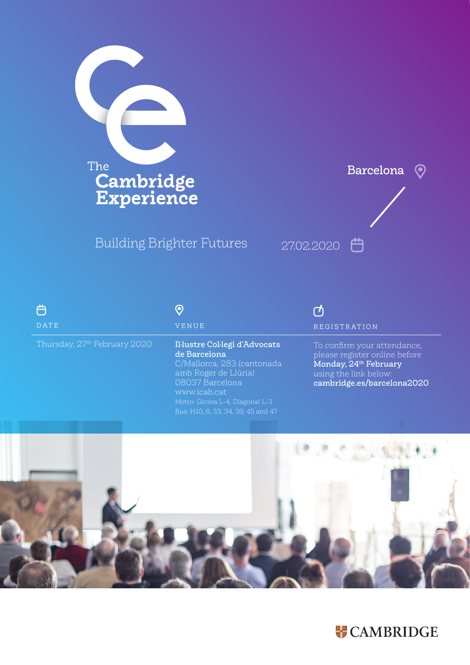

## Building Brighter Futures



| 户                                        |  |
|------------------------------------------|--|
| <b>DATE</b>                              |  |
| Thursday, 27 <sup>th</sup> February 2020 |  |

## $\odot$ VENUE

Il·lustre Col·legi d'Advocats de Barcelona C/Mallorca, 283 (cantonada amb Roger de Llúria) 08037 Barcelona www.icab.cat Metro: Girona L-4, Diagonal L-3

## $\vec{c}$ REGISTRATION

To confirm your attendance, please register online before Monday, 24<sup>th</sup> February using the link below: cambridge.es/barcelona2020



# **WE CAMBRIDGE**